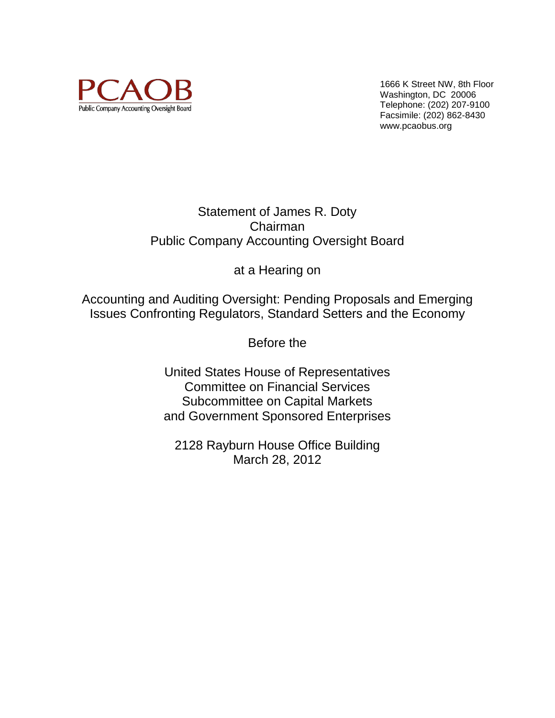

1666 K Street NW, 8th Floor Washington, DC 20006 Telephone: (202) 207-9100 Facsimile: (202) 862-8430 www.pcaobus.org

# Statement of James R. Doty Chairman Public Company Accounting Oversight Board

at a Hearing on

Accounting and Auditing Oversight: Pending Proposals and Emerging Issues Confronting Regulators, Standard Setters and the Economy

Before the

United States House of Representatives Committee on Financial Services Subcommittee on Capital Markets and Government Sponsored Enterprises

2128 Rayburn House Office Building March 28, 2012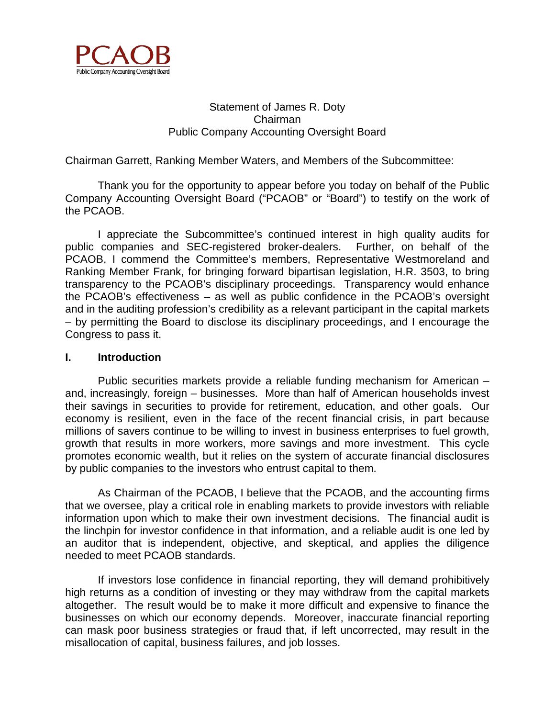

# Statement of James R. Doty Chairman Public Company Accounting Oversight Board

Chairman Garrett, Ranking Member Waters, and Members of the Subcommittee:

Thank you for the opportunity to appear before you today on behalf of the Public Company Accounting Oversight Board ("PCAOB" or "Board") to testify on the work of the PCAOB.

I appreciate the Subcommittee's continued interest in high quality audits for public companies and SEC-registered broker-dealers. Further, on behalf of the PCAOB, I commend the Committee's members, Representative Westmoreland and Ranking Member Frank, for bringing forward bipartisan legislation, H.R. 3503, to bring transparency to the PCAOB's disciplinary proceedings. Transparency would enhance the PCAOB's effectiveness – as well as public confidence in the PCAOB's oversight and in the auditing profession's credibility as a relevant participant in the capital markets – by permitting the Board to disclose its disciplinary proceedings, and I encourage the Congress to pass it.

## **I. Introduction**

Public securities markets provide a reliable funding mechanism for American – and, increasingly, foreign – businesses. More than half of American households invest their savings in securities to provide for retirement, education, and other goals. Our economy is resilient, even in the face of the recent financial crisis, in part because millions of savers continue to be willing to invest in business enterprises to fuel growth, growth that results in more workers, more savings and more investment. This cycle promotes economic wealth, but it relies on the system of accurate financial disclosures by public companies to the investors who entrust capital to them.

As Chairman of the PCAOB, I believe that the PCAOB, and the accounting firms that we oversee, play a critical role in enabling markets to provide investors with reliable information upon which to make their own investment decisions. The financial audit is the linchpin for investor confidence in that information, and a reliable audit is one led by an auditor that is independent, objective, and skeptical, and applies the diligence needed to meet PCAOB standards.

If investors lose confidence in financial reporting, they will demand prohibitively high returns as a condition of investing or they may withdraw from the capital markets altogether. The result would be to make it more difficult and expensive to finance the businesses on which our economy depends. Moreover, inaccurate financial reporting can mask poor business strategies or fraud that, if left uncorrected, may result in the misallocation of capital, business failures, and job losses.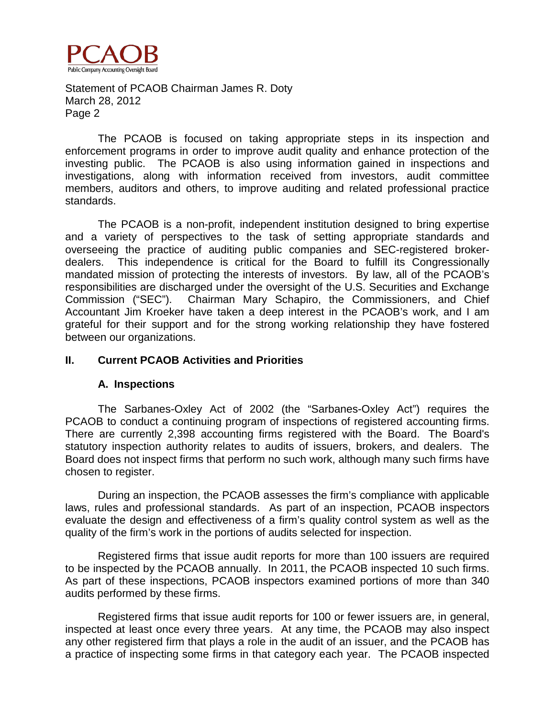

The PCAOB is focused on taking appropriate steps in its inspection and enforcement programs in order to improve audit quality and enhance protection of the investing public. The PCAOB is also using information gained in inspections and investigations, along with information received from investors, audit committee members, auditors and others, to improve auditing and related professional practice standards.

The PCAOB is a non-profit, independent institution designed to bring expertise and a variety of perspectives to the task of setting appropriate standards and overseeing the practice of auditing public companies and SEC-registered brokerdealers. This independence is critical for the Board to fulfill its Congressionally mandated mission of protecting the interests of investors. By law, all of the PCAOB's responsibilities are discharged under the oversight of the U.S. Securities and Exchange Commission ("SEC"). Chairman Mary Schapiro, the Commissioners, and Chief Accountant Jim Kroeker have taken a deep interest in the PCAOB's work, and I am grateful for their support and for the strong working relationship they have fostered between our organizations.

## **II. Current PCAOB Activities and Priorities**

#### **A. Inspections**

The Sarbanes-Oxley Act of 2002 (the "Sarbanes-Oxley Act") requires the PCAOB to conduct a continuing program of inspections of registered accounting firms. There are currently 2,398 accounting firms registered with the Board. The Board's statutory inspection authority relates to audits of issuers, brokers, and dealers. The Board does not inspect firms that perform no such work, although many such firms have chosen to register.

During an inspection, the PCAOB assesses the firm's compliance with applicable laws, rules and professional standards. As part of an inspection, PCAOB inspectors evaluate the design and effectiveness of a firm's quality control system as well as the quality of the firm's work in the portions of audits selected for inspection.

Registered firms that issue audit reports for more than 100 issuers are required to be inspected by the PCAOB annually. In 2011, the PCAOB inspected 10 such firms. As part of these inspections, PCAOB inspectors examined portions of more than 340 audits performed by these firms.

Registered firms that issue audit reports for 100 or fewer issuers are, in general, inspected at least once every three years. At any time, the PCAOB may also inspect any other registered firm that plays a role in the audit of an issuer, and the PCAOB has a practice of inspecting some firms in that category each year. The PCAOB inspected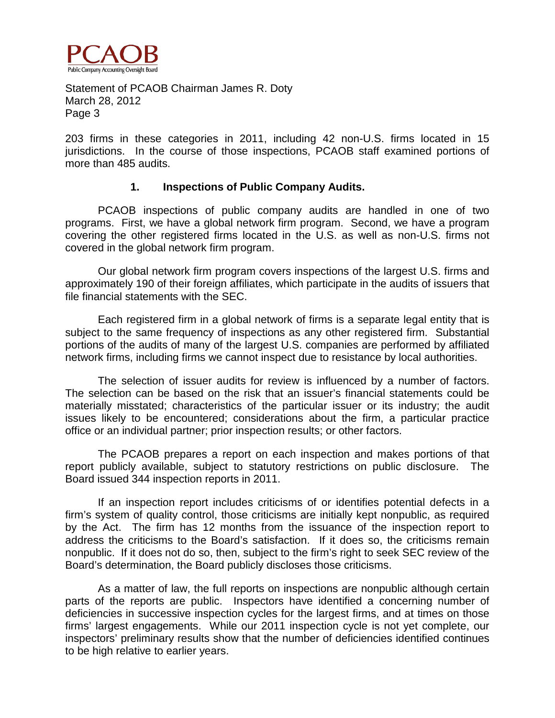

203 firms in these categories in 2011, including 42 non-U.S. firms located in 15 jurisdictions. In the course of those inspections, PCAOB staff examined portions of more than 485 audits.

## **1. Inspections of Public Company Audits.**

PCAOB inspections of public company audits are handled in one of two programs. First, we have a global network firm program. Second, we have a program covering the other registered firms located in the U.S. as well as non-U.S. firms not covered in the global network firm program.

Our global network firm program covers inspections of the largest U.S. firms and approximately 190 of their foreign affiliates, which participate in the audits of issuers that file financial statements with the SEC.

Each registered firm in a global network of firms is a separate legal entity that is subject to the same frequency of inspections as any other registered firm. Substantial portions of the audits of many of the largest U.S. companies are performed by affiliated network firms, including firms we cannot inspect due to resistance by local authorities.

The selection of issuer audits for review is influenced by a number of factors. The selection can be based on the risk that an issuer's financial statements could be materially misstated; characteristics of the particular issuer or its industry; the audit issues likely to be encountered; considerations about the firm, a particular practice office or an individual partner; prior inspection results; or other factors.

The PCAOB prepares a report on each inspection and makes portions of that report publicly available, subject to statutory restrictions on public disclosure. The Board issued 344 inspection reports in 2011.

If an inspection report includes criticisms of or identifies potential defects in a firm's system of quality control, those criticisms are initially kept nonpublic, as required by the Act. The firm has 12 months from the issuance of the inspection report to address the criticisms to the Board's satisfaction. If it does so, the criticisms remain nonpublic. If it does not do so, then, subject to the firm's right to seek SEC review of the Board's determination, the Board publicly discloses those criticisms.

As a matter of law, the full reports on inspections are nonpublic although certain parts of the reports are public. Inspectors have identified a concerning number of deficiencies in successive inspection cycles for the largest firms, and at times on those firms' largest engagements. While our 2011 inspection cycle is not yet complete, our inspectors' preliminary results show that the number of deficiencies identified continues to be high relative to earlier years.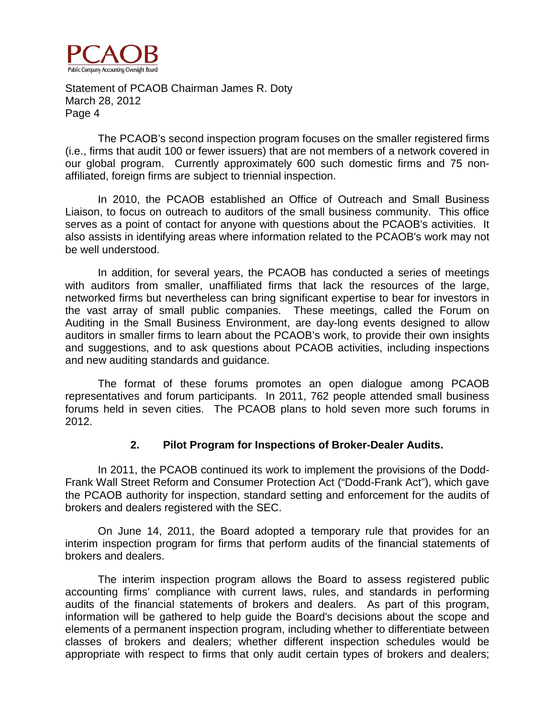

The PCAOB's second inspection program focuses on the smaller registered firms (i.e., firms that audit 100 or fewer issuers) that are not members of a network covered in our global program. Currently approximately 600 such domestic firms and 75 nonaffiliated, foreign firms are subject to triennial inspection.

In 2010, the PCAOB established an Office of Outreach and Small Business Liaison, to focus on outreach to auditors of the small business community. This office serves as a point of contact for anyone with questions about the PCAOB's activities. It also assists in identifying areas where information related to the PCAOB's work may not be well understood.

In addition, for several years, the PCAOB has conducted a series of meetings with auditors from smaller, unaffiliated firms that lack the resources of the large, networked firms but nevertheless can bring significant expertise to bear for investors in the vast array of small public companies. These meetings, called the Forum on Auditing in the Small Business Environment, are day-long events designed to allow auditors in smaller firms to learn about the PCAOB's work, to provide their own insights and suggestions, and to ask questions about PCAOB activities, including inspections and new auditing standards and guidance.

The format of these forums promotes an open dialogue among PCAOB representatives and forum participants. In 2011, 762 people attended small business forums held in seven cities. The PCAOB plans to hold seven more such forums in 2012.

# **2. Pilot Program for Inspections of Broker-Dealer Audits.**

In 2011, the PCAOB continued its work to implement the provisions of the Dodd-Frank Wall Street Reform and Consumer Protection Act ("Dodd-Frank Act"), which gave the PCAOB authority for inspection, standard setting and enforcement for the audits of brokers and dealers registered with the SEC.

On June 14, 2011, the Board adopted a temporary rule that provides for an interim inspection program for firms that perform audits of the financial statements of brokers and dealers.

The interim inspection program allows the Board to assess registered public accounting firms' compliance with current laws, rules, and standards in performing audits of the financial statements of brokers and dealers. As part of this program, information will be gathered to help guide the Board's decisions about the scope and elements of a permanent inspection program, including whether to differentiate between classes of brokers and dealers; whether different inspection schedules would be appropriate with respect to firms that only audit certain types of brokers and dealers;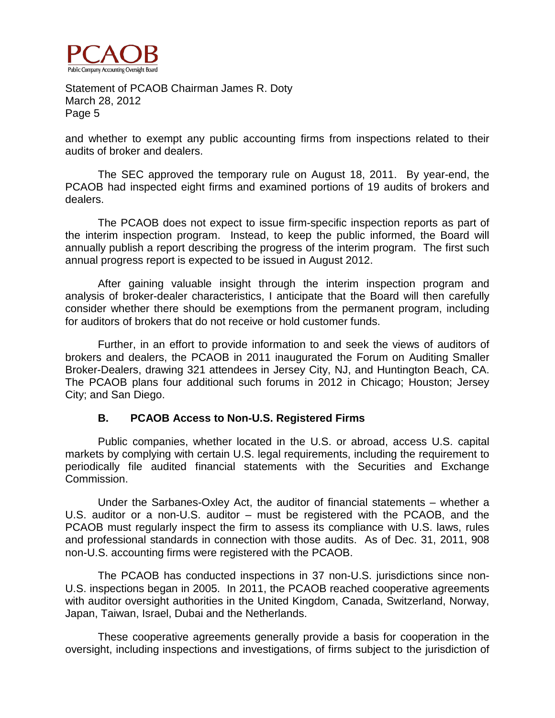

and whether to exempt any public accounting firms from inspections related to their audits of broker and dealers.

The SEC approved the temporary rule on August 18, 2011. By year-end, the PCAOB had inspected eight firms and examined portions of 19 audits of brokers and dealers.

The PCAOB does not expect to issue firm-specific inspection reports as part of the interim inspection program. Instead, to keep the public informed, the Board will annually publish a report describing the progress of the interim program. The first such annual progress report is expected to be issued in August 2012.

After gaining valuable insight through the interim inspection program and analysis of broker-dealer characteristics, I anticipate that the Board will then carefully consider whether there should be exemptions from the permanent program, including for auditors of brokers that do not receive or hold customer funds.

Further, in an effort to provide information to and seek the views of auditors of brokers and dealers, the PCAOB in 2011 inaugurated the Forum on Auditing Smaller Broker-Dealers, drawing 321 attendees in Jersey City, NJ, and Huntington Beach, CA. The PCAOB plans four additional such forums in 2012 in Chicago; Houston; Jersey City; and San Diego.

# **B. PCAOB Access to Non-U.S. Registered Firms**

Public companies, whether located in the U.S. or abroad, access U.S. capital markets by complying with certain U.S. legal requirements, including the requirement to periodically file audited financial statements with the Securities and Exchange Commission.

Under the Sarbanes-Oxley Act, the auditor of financial statements – whether a U.S. auditor or a non-U.S. auditor – must be registered with the PCAOB, and the PCAOB must regularly inspect the firm to assess its compliance with U.S. laws, rules and professional standards in connection with those audits. As of Dec. 31, 2011, 908 non-U.S. accounting firms were registered with the PCAOB.

The PCAOB has conducted inspections in 37 non-U.S. jurisdictions since non-U.S. inspections began in 2005. In 2011, the PCAOB reached cooperative agreements with auditor oversight authorities in the United Kingdom, Canada, Switzerland, Norway, Japan, Taiwan, Israel, Dubai and the Netherlands.

These cooperative agreements generally provide a basis for cooperation in the oversight, including inspections and investigations, of firms subject to the jurisdiction of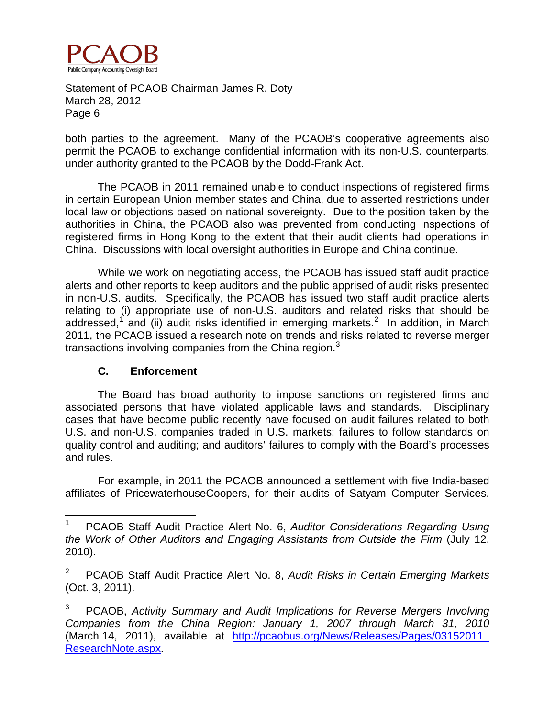

both parties to the agreement. Many of the PCAOB's cooperative agreements also permit the PCAOB to exchange confidential information with its non-U.S. counterparts, under authority granted to the PCAOB by the Dodd-Frank Act.

The PCAOB in 2011 remained unable to conduct inspections of registered firms in certain European Union member states and China, due to asserted restrictions under local law or objections based on national sovereignty. Due to the position taken by the authorities in China, the PCAOB also was prevented from conducting inspections of registered firms in Hong Kong to the extent that their audit clients had operations in China. Discussions with local oversight authorities in Europe and China continue.

While we work on negotiating access, the PCAOB has issued staff audit practice alerts and other reports to keep auditors and the public apprised of audit risks presented in non-U.S. audits. Specifically, the PCAOB has issued two staff audit practice alerts relating to (i) appropriate use of non-U.S. auditors and related risks that should be addressed,<sup>[1](#page-6-0)</sup> and (ii) audit risks identified in emerging markets.<sup>[2](#page-6-1)</sup> In addition, in March 2011, the PCAOB issued a research note on trends and risks related to reverse merger transactions involving companies from the China region. $3$ 

# **C. Enforcement**

The Board has broad authority to impose sanctions on registered firms and associated persons that have violated applicable laws and standards. Disciplinary cases that have become public recently have focused on audit failures related to both U.S. and non-U.S. companies traded in U.S. markets; failures to follow standards on quality control and auditing; and auditors' failures to comply with the Board's processes and rules.

For example, in 2011 the PCAOB announced a settlement with five India-based affiliates of PricewaterhouseCoopers, for their audits of Satyam Computer Services.

<span id="page-6-0"></span><sup>1</sup> PCAOB Staff Audit Practice Alert No. 6, *Auditor Considerations Regarding Using the Work of Other Auditors and Engaging Assistants from Outside the Firm* (July 12, 2010).

<span id="page-6-1"></span><sup>2</sup> PCAOB Staff Audit Practice Alert No. 8, *Audit Risks in Certain Emerging Markets* (Oct. 3, 2011).

<span id="page-6-2"></span><sup>3</sup> PCAOB, *Activity Summary and Audit Implications for Reverse Mergers Involving Companies from the China Region: January 1, 2007 through March 31, 2010* (March 14, 2011), available at [http://pcaobus.org/News/Releases/Pages/03152011\\_](http://pcaobus.org/News/Releases/Pages/03152011_%20ResearchNote.aspx)  [ResearchNote.aspx.](http://pcaobus.org/News/Releases/Pages/03152011_%20ResearchNote.aspx)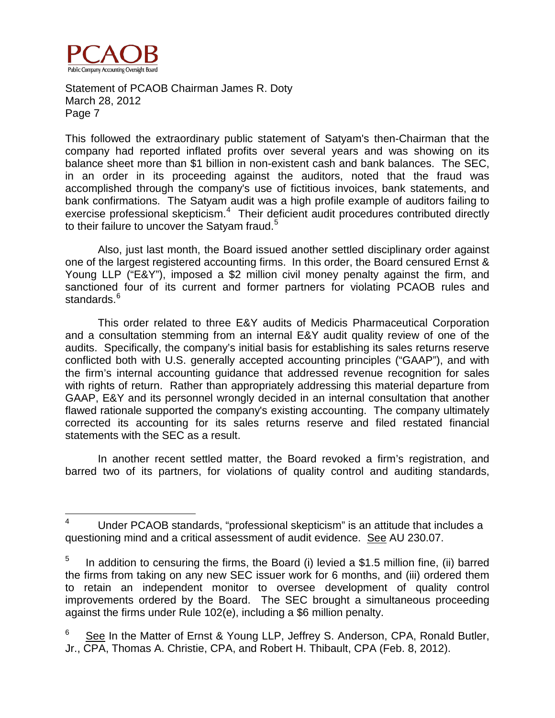

This followed the extraordinary public statement of Satyam's then-Chairman that the company had reported inflated profits over several years and was showing on its balance sheet more than \$1 billion in non-existent cash and bank balances. The SEC, in an order in its proceeding against the auditors, noted that the fraud was accomplished through the company's use of fictitious invoices, bank statements, and bank confirmations. The Satyam audit was a high profile example of auditors failing to exercise professional skepticism.<sup>[4](#page-7-0)</sup> Their deficient audit procedures contributed directly to their failure to uncover the Satyam fraud.<sup>[5](#page-7-1)</sup>

Also, just last month, the Board issued another settled disciplinary order against one of the largest registered accounting firms. In this order, the Board censured Ernst & Young LLP ("E&Y"), imposed a \$2 million civil money penalty against the firm, and sanctioned four of its current and former partners for violating PCAOB rules and standards.<sup>[6](#page-7-2)</sup>

This order related to three E&Y audits of Medicis Pharmaceutical Corporation and a consultation stemming from an internal E&Y audit quality review of one of the audits. Specifically, the company's initial basis for establishing its sales returns reserve conflicted both with U.S. generally accepted accounting principles ("GAAP"), and with the firm's internal accounting guidance that addressed revenue recognition for sales with rights of return. Rather than appropriately addressing this material departure from GAAP, E&Y and its personnel wrongly decided in an internal consultation that another flawed rationale supported the company's existing accounting. The company ultimately corrected its accounting for its sales returns reserve and filed restated financial statements with the SEC as a result.

In another recent settled matter, the Board revoked a firm's registration, and barred two of its partners, for violations of quality control and auditing standards,

<span id="page-7-0"></span> $4$  Under PCAOB standards, "professional skepticism" is an attitude that includes a questioning mind and a critical assessment of audit evidence. See AU 230.07.

<span id="page-7-1"></span><sup>&</sup>lt;sup>5</sup> In addition to censuring the firms, the Board (i) levied a \$1.5 million fine, (ii) barred the firms from taking on any new SEC issuer work for 6 months, and (iii) ordered them to retain an independent monitor to oversee development of quality control improvements ordered by the Board. The SEC brought a simultaneous proceeding against the firms under Rule 102(e), including a \$6 million penalty.

<span id="page-7-2"></span><sup>&</sup>lt;sup>6</sup> See In the Matter of Ernst & Young LLP, Jeffrey S. Anderson, CPA, Ronald Butler, [Jr., CPA, Thomas A. Christie, CPA, and Robert H. Thibault, CPA](http://pcaobus.org/Enforcement/Decisions/Documents/Ernst_Young.pdf) (Feb. 8, 2012).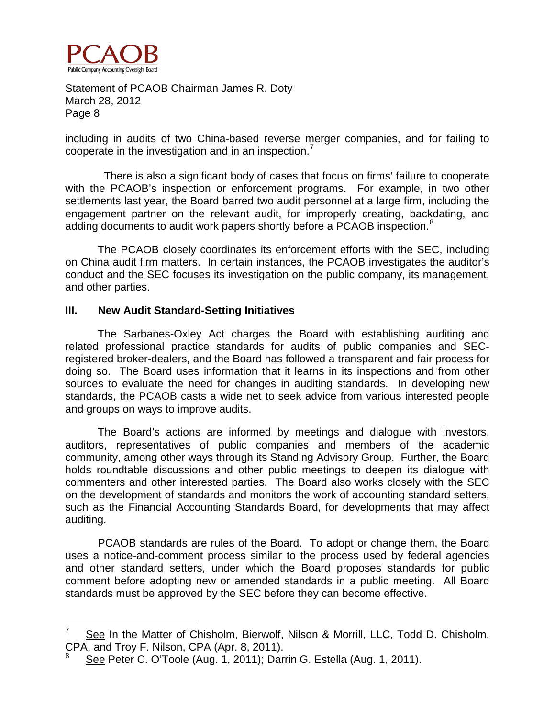

including in audits of two China-based reverse merger companies, and for failing to cooperate in the investigation and in an inspection.

 There is also a significant body of cases that focus on firms' failure to cooperate with the PCAOB's inspection or enforcement programs. For example, in two other settlements last year, the Board barred two audit personnel at a large firm, including the engagement partner on the relevant audit, for improperly creating, backdating, and adding documents to audit work papers shortly before a PCAOB inspection.<sup>[8](#page-8-1)</sup>

The PCAOB closely coordinates its enforcement efforts with the SEC, including on China audit firm matters. In certain instances, the PCAOB investigates the auditor's conduct and the SEC focuses its investigation on the public company, its management, and other parties.

# **III. New Audit Standard-Setting Initiatives**

The Sarbanes-Oxley Act charges the Board with establishing auditing and related professional practice standards for audits of public companies and SECregistered broker-dealers, and the Board has followed a transparent and fair process for doing so. The Board uses information that it learns in its inspections and from other sources to evaluate the need for changes in auditing standards. In developing new standards, the PCAOB casts a wide net to seek advice from various interested people and groups on ways to improve audits.

The Board's actions are informed by meetings and dialogue with investors, auditors, representatives of public companies and members of the academic community, among other ways through its Standing Advisory Group. Further, the Board holds roundtable discussions and other public meetings to deepen its dialogue with commenters and other interested parties. The Board also works closely with the SEC on the development of standards and monitors the work of accounting standard setters, such as the Financial Accounting Standards Board, for developments that may affect auditing.

PCAOB standards are rules of the Board. To adopt or change them, the Board uses a notice-and-comment process similar to the process used by federal agencies and other standard setters, under which the Board proposes standards for public comment before adopting new or amended standards in a public meeting. All Board standards must be approved by the SEC before they can become effective.

<span id="page-8-0"></span><sup>-&</sup>lt;br>7 See In the Matter of Chisholm, Bierwolf, Nilson & Morrill, LLC, Todd D. Chisholm, CPA, and Troy F. Nilson, CPA (Apr. 8, 2011).

<span id="page-8-1"></span><sup>8</sup> See Peter C. O'Toole (Aug. 1, 2011); Darrin G. Estella (Aug. 1, 2011).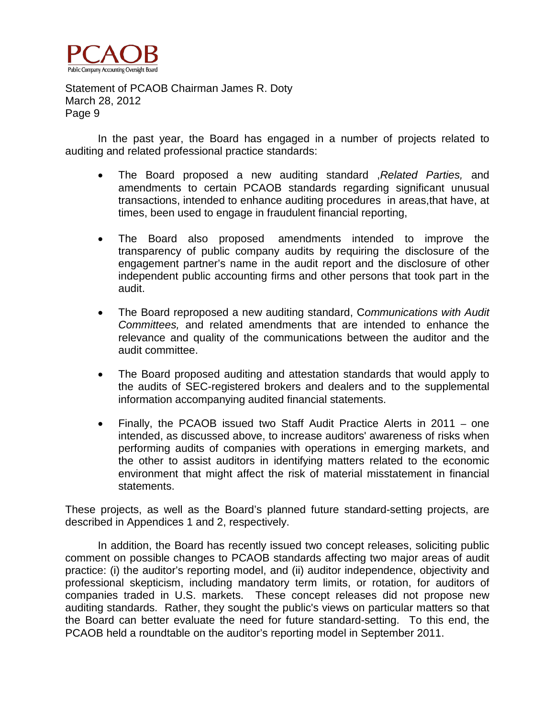

In the past year, the Board has engaged in a number of projects related to auditing and related professional practice standards:

- The Board proposed a new auditing standard ,*Related Parties,* and amendments to certain PCAOB standards regarding significant unusual transactions, intended to enhance auditing procedures in areas,that have, at times, been used to engage in fraudulent financial reporting,
- The Board also proposed amendments intended to improve the transparency of public company audits by requiring the disclosure of the engagement partner's name in the audit report and the disclosure of other independent public accounting firms and other persons that took part in the audit.
- The Board reproposed a new auditing standard, C*ommunications with Audit Committees,* and related amendments that are intended to enhance the relevance and quality of the communications between the auditor and the audit committee.
- The Board proposed auditing and attestation standards that would apply to the audits of SEC-registered brokers and dealers and to the supplemental information accompanying audited financial statements.
- Finally, the PCAOB issued two Staff Audit Practice Alerts in 2011 one intended, as discussed above, to increase auditors' awareness of risks when performing audits of companies with operations in emerging markets, and the other to assist auditors in identifying matters related to the economic environment that might affect the risk of material misstatement in financial statements.

These projects, as well as the Board's planned future standard-setting projects, are described in Appendices 1 and 2, respectively.

In addition, the Board has recently issued two concept releases, soliciting public comment on possible changes to PCAOB standards affecting two major areas of audit practice: (i) the auditor's reporting model, and (ii) auditor independence, objectivity and professional skepticism, including mandatory term limits, or rotation, for auditors of companies traded in U.S. markets. These concept releases did not propose new auditing standards. Rather, they sought the public's views on particular matters so that the Board can better evaluate the need for future standard-setting. To this end, the PCAOB held a roundtable on the auditor's reporting model in September 2011.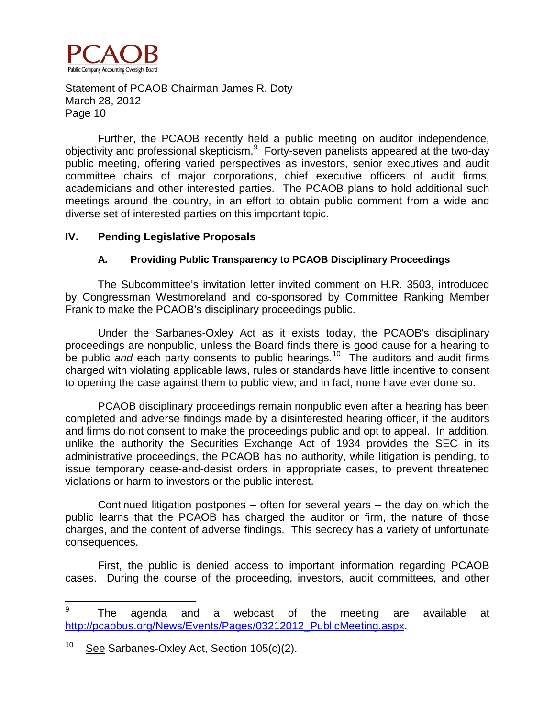

Further, the PCAOB recently held a public meeting on auditor independence, objectivity and professional skepticism.<sup>[9](#page-10-0)</sup> Forty-seven panelists appeared at the two-day public meeting, offering varied perspectives as investors, senior executives and audit committee chairs of major corporations, chief executive officers of audit firms, academicians and other interested parties. The PCAOB plans to hold additional such meetings around the country, in an effort to obtain public comment from a wide and diverse set of interested parties on this important topic.

## **IV. Pending Legislative Proposals**

# **A. Providing Public Transparency to PCAOB Disciplinary Proceedings**

The Subcommittee's invitation letter invited comment on H.R. 3503, introduced by Congressman Westmoreland and co-sponsored by Committee Ranking Member Frank to make the PCAOB's disciplinary proceedings public.

Under the Sarbanes-Oxley Act as it exists today, the PCAOB's disciplinary proceedings are nonpublic, unless the Board finds there is good cause for a hearing to be public *and* each party consents to public hearings.<sup>[10](#page-10-1)</sup> The auditors and audit firms charged with violating applicable laws, rules or standards have little incentive to consent to opening the case against them to public view, and in fact, none have ever done so.

PCAOB disciplinary proceedings remain nonpublic even after a hearing has been completed and adverse findings made by a disinterested hearing officer, if the auditors and firms do not consent to make the proceedings public and opt to appeal. In addition, unlike the authority the Securities Exchange Act of 1934 provides the SEC in its administrative proceedings, the PCAOB has no authority, while litigation is pending, to issue temporary cease-and-desist orders in appropriate cases, to prevent threatened violations or harm to investors or the public interest.

Continued litigation postpones – often for several years – the day on which the public learns that the PCAOB has charged the auditor or firm, the nature of those charges, and the content of adverse findings. This secrecy has a variety of unfortunate consequences.

First, the public is denied access to important information regarding PCAOB cases. During the course of the proceeding, investors, audit committees, and other

<span id="page-10-0"></span><sup>9</sup> The agenda and a webcast of the meeting are available at [http://pcaobus.org/News/Events/Pages/03212012\\_PublicMeeting.aspx.](http://pcaobus.org/News/Events/Pages/03212012_PublicMeeting.aspx)

<span id="page-10-1"></span><sup>&</sup>lt;sup>10</sup> See Sarbanes-Oxley Act, Section  $105(c)(2)$ .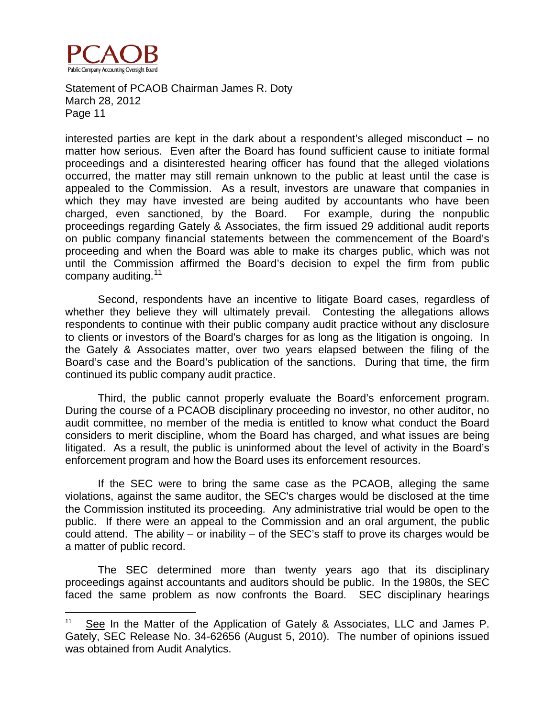

 $\overline{a}$ 

Statement of PCAOB Chairman James R. Doty March 28, 2012 Page 11

interested parties are kept in the dark about a respondent's alleged misconduct – no matter how serious. Even after the Board has found sufficient cause to initiate formal proceedings and a disinterested hearing officer has found that the alleged violations occurred, the matter may still remain unknown to the public at least until the case is appealed to the Commission. As a result, investors are unaware that companies in which they may have invested are being audited by accountants who have been charged, even sanctioned, by the Board. For example, during the nonpublic proceedings regarding Gately & Associates, the firm issued 29 additional audit reports on public company financial statements between the commencement of the Board's proceeding and when the Board was able to make its charges public, which was not until the Commission affirmed the Board's decision to expel the firm from public company auditing.<sup>[11](#page-11-0)</sup>

Second, respondents have an incentive to litigate Board cases, regardless of whether they believe they will ultimately prevail. Contesting the allegations allows respondents to continue with their public company audit practice without any disclosure to clients or investors of the Board's charges for as long as the litigation is ongoing. In the Gately & Associates matter, over two years elapsed between the filing of the Board's case and the Board's publication of the sanctions. During that time, the firm continued its public company audit practice.

Third, the public cannot properly evaluate the Board's enforcement program. During the course of a PCAOB disciplinary proceeding no investor, no other auditor, no audit committee, no member of the media is entitled to know what conduct the Board considers to merit discipline, whom the Board has charged, and what issues are being litigated. As a result, the public is uninformed about the level of activity in the Board's enforcement program and how the Board uses its enforcement resources.

If the SEC were to bring the same case as the PCAOB, alleging the same violations, against the same auditor, the SEC's charges would be disclosed at the time the Commission instituted its proceeding. Any administrative trial would be open to the public. If there were an appeal to the Commission and an oral argument, the public could attend. The ability – or inability – of the SEC's staff to prove its charges would be a matter of public record.

The SEC determined more than twenty years ago that its disciplinary proceedings against accountants and auditors should be public. In the 1980s, the SEC faced the same problem as now confronts the Board. SEC disciplinary hearings

<span id="page-11-0"></span><sup>&</sup>lt;sup>11</sup> See In the Matter of the Application of Gately & Associates, LLC and James P. Gately, SEC Release No. 34-62656 (August 5, 2010). The number of opinions issued was obtained from Audit Analytics.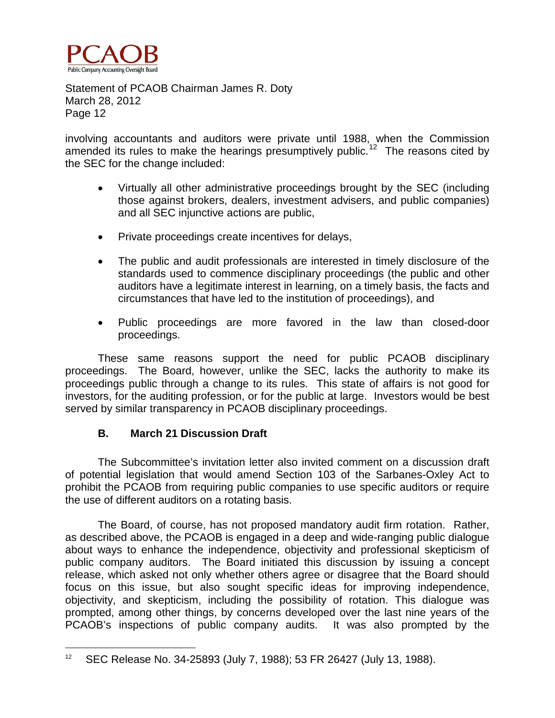

involving accountants and auditors were private until 1988, when the Commission amended its rules to make the hearings presumptively public.<sup>[12](#page-12-0)</sup> The reasons cited by the SEC for the change included:

- Virtually all other administrative proceedings brought by the SEC (including those against brokers, dealers, investment advisers, and public companies) and all SEC injunctive actions are public,
- Private proceedings create incentives for delays,
- The public and audit professionals are interested in timely disclosure of the standards used to commence disciplinary proceedings (the public and other auditors have a legitimate interest in learning, on a timely basis, the facts and circumstances that have led to the institution of proceedings), and
- Public proceedings are more favored in the law than closed-door proceedings.

These same reasons support the need for public PCAOB disciplinary proceedings. The Board, however, unlike the SEC, lacks the authority to make its proceedings public through a change to its rules. This state of affairs is not good for investors, for the auditing profession, or for the public at large. Investors would be best served by similar transparency in PCAOB disciplinary proceedings.

# **B. March 21 Discussion Draft**

 $\overline{a}$ 

The Subcommittee's invitation letter also invited comment on a discussion draft of potential legislation that would amend Section 103 of the Sarbanes-Oxley Act to prohibit the PCAOB from requiring public companies to use specific auditors or require the use of different auditors on a rotating basis.

The Board, of course, has not proposed mandatory audit firm rotation. Rather, as described above, the PCAOB is engaged in a deep and wide-ranging public dialogue about ways to enhance the independence, objectivity and professional skepticism of public company auditors. The Board initiated this discussion by issuing a concept release, which asked not only whether others agree or disagree that the Board should focus on this issue, but also sought specific ideas for improving independence, objectivity, and skepticism, including the possibility of rotation. This dialogue was prompted, among other things, by concerns developed over the last nine years of the PCAOB's inspections of public company audits. It was also prompted by the

<span id="page-12-0"></span><sup>12</sup> SEC Release No. 34-25893 (July 7, 1988); 53 FR 26427 (July 13, 1988).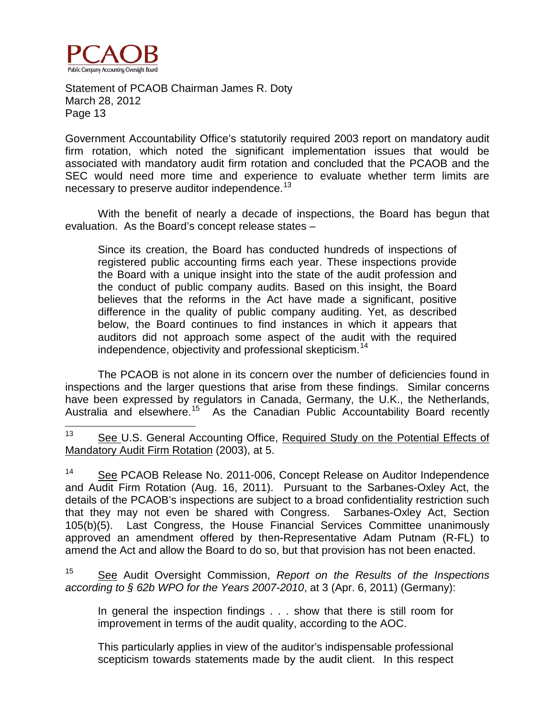

Government Accountability Office's statutorily required 2003 report on mandatory audit firm rotation, which noted the significant implementation issues that would be associated with mandatory audit firm rotation and concluded that the PCAOB and the SEC would need more time and experience to evaluate whether term limits are necessary to preserve auditor independence.<sup>13</sup>

With the benefit of nearly a decade of inspections, the Board has begun that evaluation. As the Board's concept release states –

Since its creation, the Board has conducted hundreds of inspections of registered public accounting firms each year. These inspections provide the Board with a unique insight into the state of the audit profession and the conduct of public company audits. Based on this insight, the Board believes that the reforms in the Act have made a significant, positive difference in the quality of public company auditing. Yet, as described below, the Board continues to find instances in which it appears that auditors did not approach some aspect of the audit with the required independence, objectivity and professional skepticism.<sup>[14](#page-13-1)</sup>

The PCAOB is not alone in its concern over the number of deficiencies found in inspections and the larger questions that arise from these findings. Similar concerns have been expressed by regulators in Canada, Germany, the U.K., the Netherlands, Australia and elsewhere.<sup>[15](#page-13-2)</sup> As the Canadian Public Accountability Board recently

<span id="page-13-0"></span><sup>13</sup> See U.S. General Accounting Office, Required Study on the Potential Effects of Mandatory Audit Firm Rotation (2003), at 5.

<span id="page-13-1"></span><sup>14</sup> See PCAOB Release No. 2011-006, Concept Release on Auditor Independence and Audit Firm Rotation (Aug. 16, 2011). Pursuant to the Sarbanes-Oxley Act, the details of the PCAOB's inspections are subject to a broad confidentiality restriction such that they may not even be shared with Congress. Sarbanes-Oxley Act, Section 105(b)(5). Last Congress, the House Financial Services Committee unanimously approved an amendment offered by then-Representative Adam Putnam (R-FL) to amend the Act and allow the Board to do so, but that provision has not been enacted.

<span id="page-13-2"></span><sup>15</sup> See Audit Oversight Commission, *Report on the Results of the Inspections according to § 62b WPO for the Years 2007-2010*, at 3 (Apr. 6, 2011) (Germany):

In general the inspection findings . . . show that there is still room for improvement in terms of the audit quality, according to the AOC.

This particularly applies in view of the auditor's indispensable professional scepticism towards statements made by the audit client. In this respect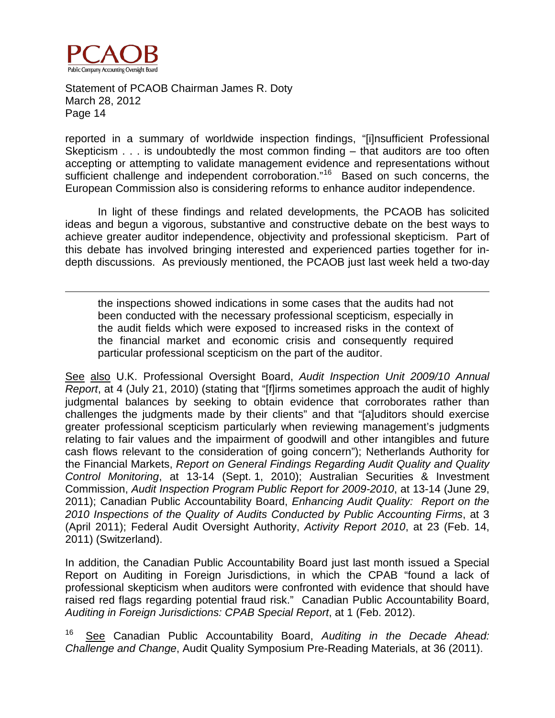

 $\overline{a}$ 

Statement of PCAOB Chairman James R. Doty March 28, 2012 Page 14

reported in a summary of worldwide inspection findings, "[i]nsufficient Professional Skepticism . . . is undoubtedly the most common finding – that auditors are too often accepting or attempting to validate management evidence and representations without sufficient challenge and independent corroboration."<sup>[16](#page-14-0)</sup> Based on such concerns, the European Commission also is considering reforms to enhance auditor independence.

In light of these findings and related developments, the PCAOB has solicited ideas and begun a vigorous, substantive and constructive debate on the best ways to achieve greater auditor independence, objectivity and professional skepticism. Part of this debate has involved bringing interested and experienced parties together for indepth discussions. As previously mentioned, the PCAOB just last week held a two-day

the inspections showed indications in some cases that the audits had not been conducted with the necessary professional scepticism, especially in the audit fields which were exposed to increased risks in the context of the financial market and economic crisis and consequently required particular professional scepticism on the part of the auditor.

See also U.K. Professional Oversight Board, *Audit Inspection Unit 2009/10 Annual Report*, at 4 (July 21, 2010) (stating that "[f]irms sometimes approach the audit of highly judgmental balances by seeking to obtain evidence that corroborates rather than challenges the judgments made by their clients" and that "[a]uditors should exercise greater professional scepticism particularly when reviewing management's judgments relating to fair values and the impairment of goodwill and other intangibles and future cash flows relevant to the consideration of going concern"); Netherlands Authority for the Financial Markets, *Report on General Findings Regarding Audit Quality and Quality Control Monitoring*, at 13-14 (Sept. 1, 2010); Australian Securities & Investment Commission, *Audit Inspection Program Public Report for 2009-2010*, at 13-14 (June 29, 2011); Canadian Public Accountability Board, *Enhancing Audit Quality: Report on the 2010 Inspections of the Quality of Audits Conducted by Public Accounting Firms*, at 3 (April 2011); Federal Audit Oversight Authority, *Activity Report 2010*, at 23 (Feb. 14, 2011) (Switzerland).

In addition, the Canadian Public Accountability Board just last month issued a Special Report on Auditing in Foreign Jurisdictions, in which the CPAB "found a lack of professional skepticism when auditors were confronted with evidence that should have raised red flags regarding potential fraud risk." Canadian Public Accountability Board, *Auditing in Foreign Jurisdictions: CPAB Special Report*, at 1 (Feb. 2012).

<span id="page-14-0"></span><sup>16</sup> See Canadian Public Accountability Board, *Auditing in the Decade Ahead: Challenge and Change*, Audit Quality Symposium Pre-Reading Materials, at 36 (2011).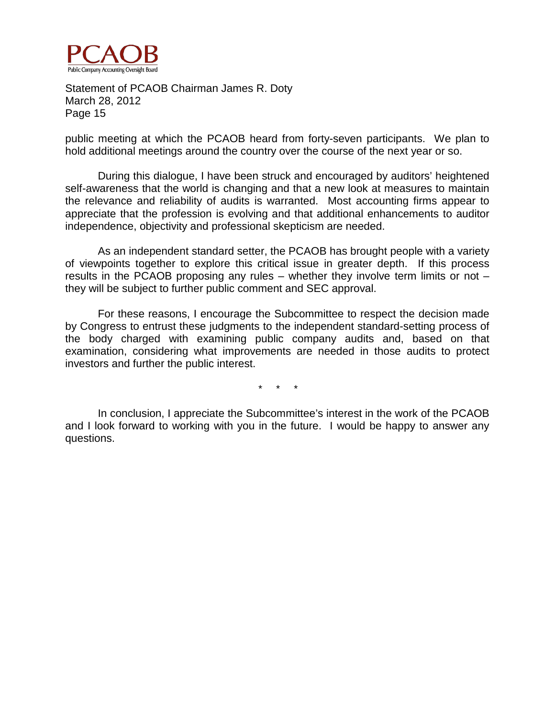

public meeting at which the PCAOB heard from forty-seven participants. We plan to hold additional meetings around the country over the course of the next year or so.

During this dialogue, I have been struck and encouraged by auditors' heightened self-awareness that the world is changing and that a new look at measures to maintain the relevance and reliability of audits is warranted. Most accounting firms appear to appreciate that the profession is evolving and that additional enhancements to auditor independence, objectivity and professional skepticism are needed.

As an independent standard setter, the PCAOB has brought people with a variety of viewpoints together to explore this critical issue in greater depth. If this process results in the PCAOB proposing any rules – whether they involve term limits or not – they will be subject to further public comment and SEC approval.

For these reasons, I encourage the Subcommittee to respect the decision made by Congress to entrust these judgments to the independent standard-setting process of the body charged with examining public company audits and, based on that examination, considering what improvements are needed in those audits to protect investors and further the public interest.

\* \* \*

In conclusion, I appreciate the Subcommittee's interest in the work of the PCAOB and I look forward to working with you in the future. I would be happy to answer any questions.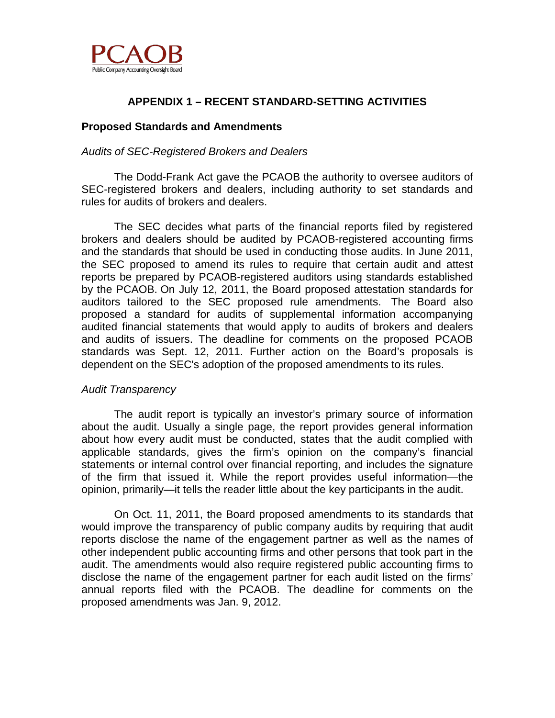

# **APPENDIX 1 – RECENT STANDARD-SETTING ACTIVITIES**

## **Proposed Standards and Amendments**

## *Audits of SEC-Registered Brokers and Dealers*

The Dodd-Frank Act gave the PCAOB the authority to oversee auditors of SEC-registered brokers and dealers, including authority to set standards and rules for audits of brokers and dealers.

The SEC decides what parts of the financial reports filed by registered brokers and dealers should be audited by PCAOB-registered accounting firms and the standards that should be used in conducting those audits. In June 2011, the SEC proposed to amend its rules to require that certain audit and attest reports be prepared by PCAOB-registered auditors using standards established by the PCAOB. On July 12, 2011, the Board proposed attestation standards for auditors tailored to the SEC proposed rule amendments. The Board also proposed a standard for audits of supplemental information accompanying audited financial statements that would apply to audits of brokers and dealers and audits of issuers. The deadline for comments on the proposed PCAOB standards was Sept. 12, 2011. Further action on the Board's proposals is dependent on the SEC's adoption of the proposed amendments to its rules.

#### *Audit Transparency*

The audit report is typically an investor's primary source of information about the audit. Usually a single page, the report provides general information about how every audit must be conducted, states that the audit complied with applicable standards, gives the firm's opinion on the company's financial statements or internal control over financial reporting, and includes the signature of the firm that issued it. While the report provides useful information—the opinion, primarily—it tells the reader little about the key participants in the audit.

On Oct. 11, 2011, the Board proposed amendments to its standards that would improve the transparency of public company audits by requiring that audit reports disclose the name of the engagement partner as well as the names of other independent public accounting firms and other persons that took part in the audit. The amendments would also require registered public accounting firms to disclose the name of the engagement partner for each audit listed on the firms' annual reports filed with the PCAOB. The deadline for comments on the proposed amendments was Jan. 9, 2012.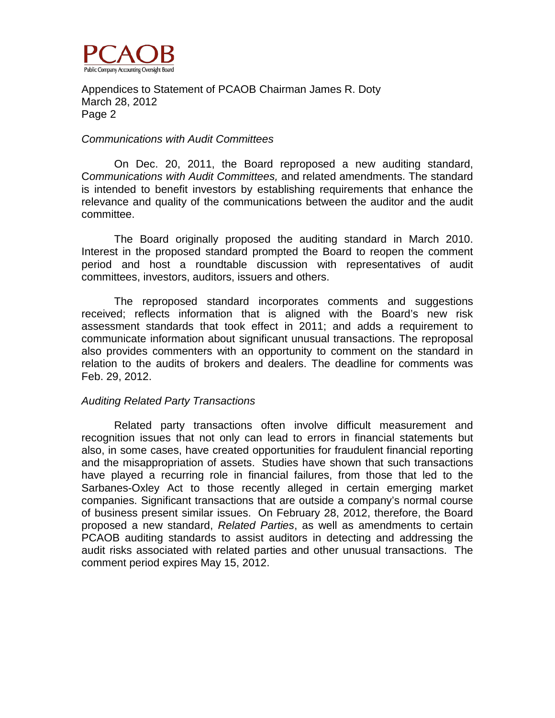

#### *Communications with Audit Committees*

On Dec. 20, 2011, the Board reproposed a new auditing standard, C*ommunications with Audit Committees,* and related amendments. The standard is intended to benefit investors by establishing requirements that enhance the relevance and quality of the communications between the auditor and the audit committee.

The Board originally proposed the auditing standard in March 2010. Interest in the proposed standard prompted the Board to reopen the comment period and host a roundtable discussion with representatives of audit committees, investors, auditors, issuers and others.

The reproposed standard incorporates comments and suggestions received; reflects information that is aligned with the Board's new risk assessment standards that took effect in 2011; and adds a requirement to communicate information about significant unusual transactions. The reproposal also provides commenters with an opportunity to comment on the standard in relation to the audits of brokers and dealers. The deadline for comments was Feb. 29, 2012.

#### *Auditing Related Party Transactions*

Related party transactions often involve difficult measurement and recognition issues that not only can lead to errors in financial statements but also, in some cases, have created opportunities for fraudulent financial reporting and the misappropriation of assets. Studies have shown that such transactions have played a recurring role in financial failures, from those that led to the Sarbanes-Oxley Act to those recently alleged in certain emerging market companies. Significant transactions that are outside a company's normal course of business present similar issues. On February 28, 2012, therefore, the Board proposed a new standard, *Related Parties*, as well as amendments to certain PCAOB auditing standards to assist auditors in detecting and addressing the audit risks associated with related parties and other unusual transactions. The comment period expires May 15, 2012.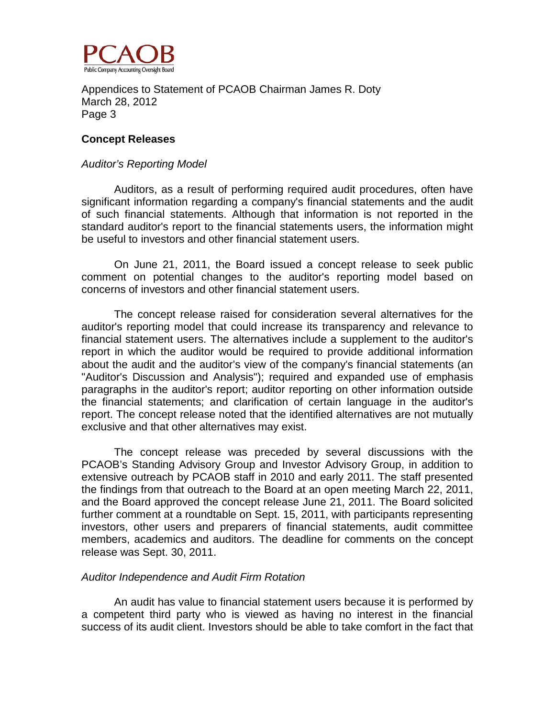

#### **Concept Releases**

#### *Auditor's Reporting Model*

Auditors, as a result of performing required audit procedures, often have significant information regarding a company's financial statements and the audit of such financial statements. Although that information is not reported in the standard auditor's report to the financial statements users, the information might be useful to investors and other financial statement users.

On June 21, 2011, the Board issued a concept release to seek public comment on potential changes to the auditor's reporting model based on concerns of investors and other financial statement users.

The concept release raised for consideration several alternatives for the auditor's reporting model that could increase its transparency and relevance to financial statement users. The alternatives include a supplement to the auditor's report in which the auditor would be required to provide additional information about the audit and the auditor's view of the company's financial statements (an "Auditor's Discussion and Analysis"); required and expanded use of emphasis paragraphs in the auditor's report; auditor reporting on other information outside the financial statements; and clarification of certain language in the auditor's report. The concept release noted that the identified alternatives are not mutually exclusive and that other alternatives may exist.

The concept release was preceded by several discussions with the PCAOB's Standing Advisory Group and Investor Advisory Group, in addition to extensive outreach by PCAOB staff in 2010 and early 2011. The staff presented the findings from that outreach to the Board at an open meeting March 22, 2011, and the Board approved the concept release June 21, 2011. The Board solicited further comment at a roundtable on Sept. 15, 2011, with participants representing investors, other users and preparers of financial statements, audit committee members, academics and auditors. The deadline for comments on the concept release was Sept. 30, 2011.

#### *Auditor Independence and Audit Firm Rotation*

An audit has value to financial statement users because it is performed by a competent third party who is viewed as having no interest in the financial success of its audit client. Investors should be able to take comfort in the fact that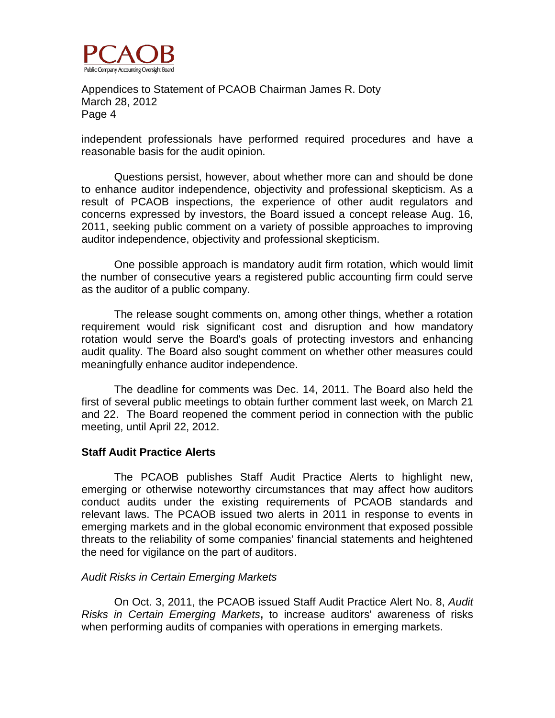

independent professionals have performed required procedures and have a reasonable basis for the audit opinion.

Questions persist, however, about whether more can and should be done to enhance auditor independence, objectivity and professional skepticism. As a result of PCAOB inspections, the experience of other audit regulators and concerns expressed by investors, the Board issued a concept release Aug. 16, 2011, seeking public comment on a variety of possible approaches to improving auditor independence, objectivity and professional skepticism.

One possible approach is mandatory audit firm rotation, which would limit the number of consecutive years a registered public accounting firm could serve as the auditor of a public company.

The release sought comments on, among other things, whether a rotation requirement would risk significant cost and disruption and how mandatory rotation would serve the Board's goals of protecting investors and enhancing audit quality. The Board also sought comment on whether other measures could meaningfully enhance auditor independence.

The deadline for comments was Dec. 14, 2011. The Board also held the first of several public meetings to obtain further comment last week, on March 21 and 22. The Board reopened the comment period in connection with the public meeting, until April 22, 2012.

#### **Staff Audit Practice Alerts**

The PCAOB publishes Staff Audit Practice Alerts to highlight new, emerging or otherwise noteworthy circumstances that may affect how auditors conduct audits under the existing requirements of PCAOB standards and relevant laws. The PCAOB issued two alerts in 2011 in response to events in emerging markets and in the global economic environment that exposed possible threats to the reliability of some companies' financial statements and heightened the need for vigilance on the part of auditors.

#### *Audit Risks in Certain Emerging Markets*

On Oct. 3, 2011, the PCAOB issued Staff Audit Practice Alert No. 8, *Audit Risks in Certain Emerging Markets***,** to increase auditors' awareness of risks when performing audits of companies with operations in emerging markets.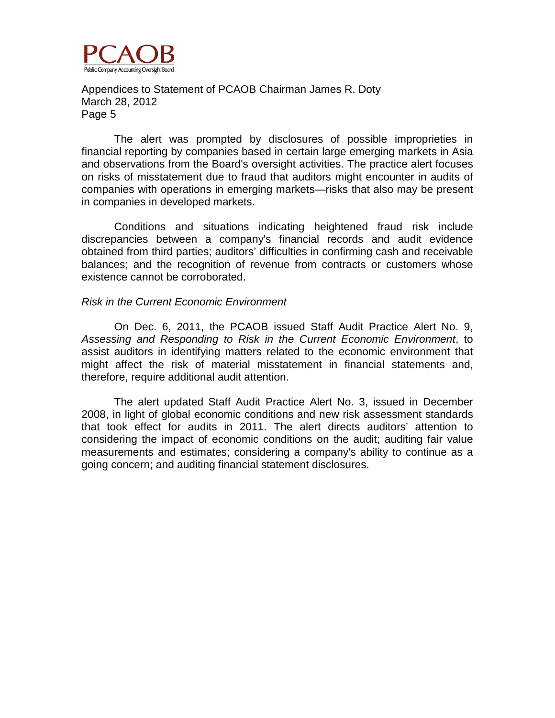

The alert was prompted by disclosures of possible improprieties in financial reporting by companies based in certain large emerging markets in Asia and observations from the Board's oversight activities. The practice alert focuses on risks of misstatement due to fraud that auditors might encounter in audits of companies with operations in emerging markets—risks that also may be present in companies in developed markets.

Conditions and situations indicating heightened fraud risk include discrepancies between a company's financial records and audit evidence obtained from third parties; auditors' difficulties in confirming cash and receivable balances; and the recognition of revenue from contracts or customers whose existence cannot be corroborated.

#### *Risk in the Current Economic Environment*

On Dec. 6, 2011, the PCAOB issued Staff Audit Practice Alert No. 9, *Assessing and Responding to Risk in the Current Economic Environment*, to assist auditors in identifying matters related to the economic environment that might affect the risk of material misstatement in financial statements and, therefore, require additional audit attention.

The alert updated Staff Audit Practice Alert No. 3, issued in December 2008, in light of global economic conditions and new risk assessment standards that took effect for audits in 2011. The alert directs auditors' attention to considering the impact of economic conditions on the audit; auditing fair value measurements and estimates; considering a company's ability to continue as a going concern; and auditing financial statement disclosures.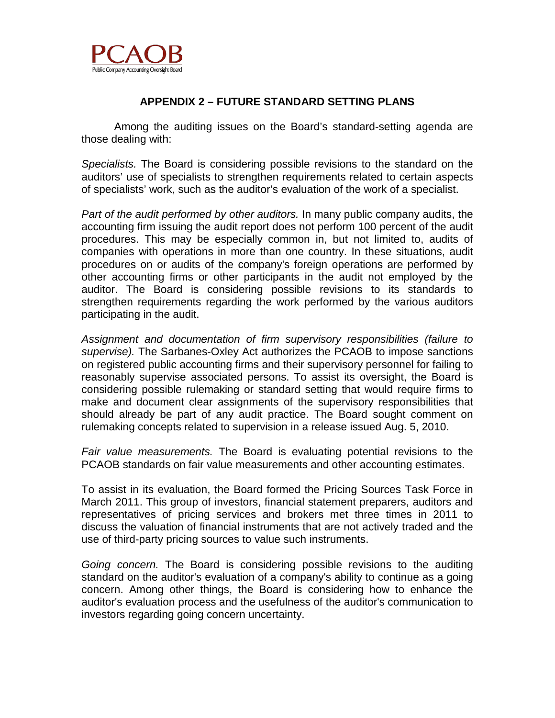

# **APPENDIX 2 – FUTURE STANDARD SETTING PLANS**

Among the auditing issues on the Board's standard-setting agenda are those dealing with:

*Specialists.* The Board is considering possible revisions to the standard on the auditors' use of specialists to strengthen requirements related to certain aspects of specialists' work, such as the auditor's evaluation of the work of a specialist.

*Part of the audit performed by other auditors.* In many public company audits, the accounting firm issuing the audit report does not perform 100 percent of the audit procedures. This may be especially common in, but not limited to, audits of companies with operations in more than one country. In these situations, audit procedures on or audits of the company's foreign operations are performed by other accounting firms or other participants in the audit not employed by the auditor. The Board is considering possible revisions to its standards to strengthen requirements regarding the work performed by the various auditors participating in the audit.

*Assignment and documentation of firm supervisory responsibilities (failure to supervise).* The Sarbanes-Oxley Act authorizes the PCAOB to impose sanctions on registered public accounting firms and their supervisory personnel for failing to reasonably supervise associated persons. To assist its oversight, the Board is considering possible rulemaking or standard setting that would require firms to make and document clear assignments of the supervisory responsibilities that should already be part of any audit practice. The Board sought comment on rulemaking concepts related to supervision in a release issued Aug. 5, 2010.

*Fair value measurements.* The Board is evaluating potential revisions to the PCAOB standards on fair value measurements and other accounting estimates.

To assist in its evaluation, the Board formed the Pricing Sources Task Force in March 2011. This group of investors, financial statement preparers, auditors and representatives of pricing services and brokers met three times in 2011 to discuss the valuation of financial instruments that are not actively traded and the use of third-party pricing sources to value such instruments.

*Going concern.* The Board is considering possible revisions to the auditing standard on the auditor's evaluation of a company's ability to continue as a going concern. Among other things, the Board is considering how to enhance the auditor's evaluation process and the usefulness of the auditor's communication to investors regarding going concern uncertainty.